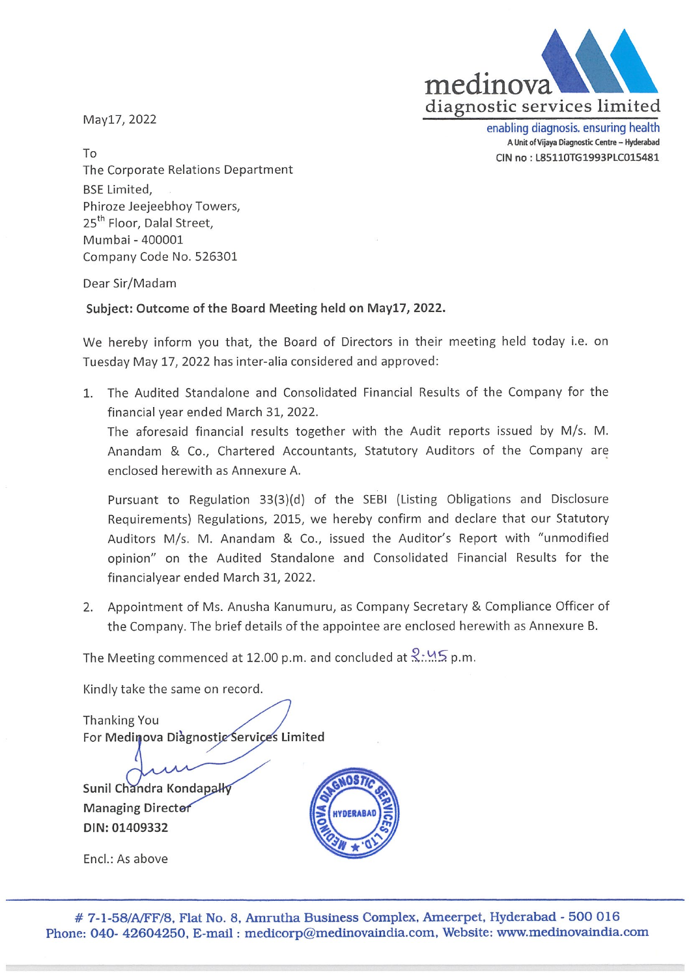

May17, 2022

enabling diagnosis. ensuring health A Unit of Vijaya Diagnostic Centre - Hyderabad CIN no: L85110TG1993PLC015481

To The Corporate Relations Department BSE Limited, Phiroze Jeejeebhoy Towers, 25<sup>th</sup> Floor, Dalal Street, Mumbai -400001 Company Code No. 526301

Dear Sir/Madam

Subject: Outcome of the Board Meeting held on May17, 2022.

We hereby inform you that, the Board of Directors in their meeting held today i.e. on Tuesday May 17, 2022 has inter-alia considered and approved:

The Audited Standalone and Consolidated Financial Results of the Company for the financial year ended March 31, 2022.

The aforesaid financial results together with the Audit reports issued by M/s. M. Anandam & Co., Chartered Accountants, Statutory Auditors of the Company are enclosed herewith as Annexure A.

Pursuant to Regulation 33(3)(d) of the SEBI (Listing Obligations and Disclosure Requirements) Regulations, 2015, we hereby confirm and declare that our Statutory Auditors M/s. M. Anandam & Co., issued the Auditor's Report with "unmodified opinion" on the Audited Standalone and Consolidated Financial Results for the financialyear ended March 31, 2022.

2. Appointment of Ms. Anusha Kanumuru, as Company Secretary & Compliance Officer of the Company. The brief details of the appointee are enclosed herewith as Annexure B.

The Meeting commenced at 12.00 p.m. and concluded at  $\frac{2 \cdot M}{2}$  p.m.

Kindly take the same on record

Thanking You For Medinova Diàgnostic Śervices Limited

Sunil Chandra Kondapall **Managing Directer** DIN: 01409332



Encl.: As above

# 7-1-58/A/FF/8, Flat No. 8, Amrutha Business Complex, Ameerpet, Hyderabad - 500 016 Phone: 040- 42604250, E-mail: medicorp@medinovaindia.com, Website: www.medinovaindia.com